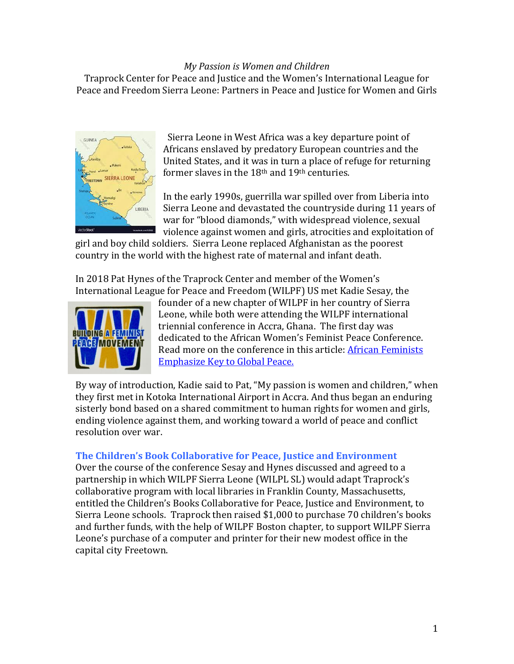#### *My Passion is Women and Children*

Traprock Center for Peace and Justice and the Women's International League for Peace and Freedom Sierra Leone: Partners in Peace and Justice for Women and Girls



 Sierra Leone in West Africa was a key departure point of Africans enslaved by predatory European countries and the United States, and it was in turn a place of refuge for returning former slaves in the 18th and 19th centuries.

In the early 1990s, guerrilla war spilled over from Liberia into Sierra Leone and devastated the countryside during 11 years of war for "blood diamonds," with widespread violence, sexual violence against women and girls, atrocities and exploitation of

girl and boy child soldiers. Sierra Leone replaced Afghanistan as the poorest country in the world with the highest rate of maternal and infant death.

In 2018 Pat Hynes of the Traprock Center and member of the Women's International League for Peace and Freedom (WILPF) US met Kadie Sesay, the



founder of a new chapter of WILPF in her country of Sierra Leone, while both were attending the WILPF international triennial conference in Accra, Ghana. The first day was dedicated to the African Women's Feminist Peace Conference. Read more on the conference in this article: [African Feminists](https://www.truthdig.com/articles/nothing-without-women-african-feminists-raise-the-stakes-for-global-peace/)  [Emphasize Key to Global Peace.](https://www.truthdig.com/articles/nothing-without-women-african-feminists-raise-the-stakes-for-global-peace/)

By way of introduction, Kadie said to Pat, "My passion is women and children," when they first met in Kotoka International Airport in Accra. And thus began an enduring sisterly bond based on a shared commitment to human rights for women and girls, ending violence against them, and working toward a world of peace and conflict resolution over war.

# **The Children's Book Collaborative for Peace, Justice and Environment**

Over the course of the conference Sesay and Hynes discussed and agreed to a partnership in which WILPF Sierra Leone (WILPL SL) would adapt Traprock's collaborative program with local libraries in Franklin County, Massachusetts, entitled the Children's Books Collaborative for Peace, Justice and Environment, to Sierra Leone schools. Traprock then raised \$1,000 to purchase 70 children's books and further funds, with the help of WILPF Boston chapter, to support WILPF Sierra Leone's purchase of a computer and printer for their new modest office in the capital city Freetown.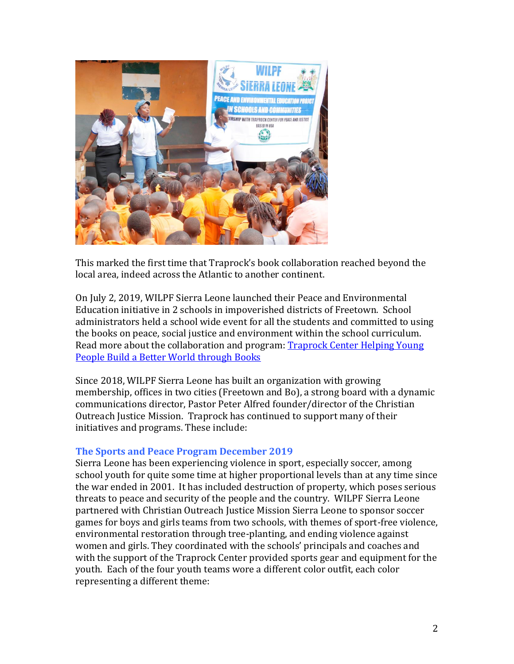

This marked the first time that Traprock's book collaboration reached beyond the local area, indeed across the Atlantic to another continent.

On July 2, 2019, WILPF Sierra Leone launched their Peace and Environmental Education initiative in 2 schools in impoverished districts of Freetown. School administrators held a school wide event for all the students and committed to using the books on peace, social justice and environment within the school curriculum. Read more about the collaboration and program: [Traprock Center Helping Young](https://www.recorder.com/a1-open-focus-richie-davis-09819-27500612)  [People Build a Better World through Books](https://www.recorder.com/a1-open-focus-richie-davis-09819-27500612)

Since 2018, WILPF Sierra Leone has built an organization with growing membership, offices in two cities (Freetown and Bo), a strong board with a dynamic communications director, Pastor Peter Alfred founder/director of the Christian Outreach Justice Mission. Traprock has continued to support many of their initiatives and programs. These include:

# **The Sports and Peace Program December 2019**

Sierra Leone has been experiencing violence in sport, especially soccer, among school youth for quite some time at higher proportional levels than at any time since the war ended in 2001. It has included destruction of property, which poses serious threats to peace and security of the people and the country. WILPF Sierra Leone partnered with Christian Outreach Justice Mission Sierra Leone to sponsor soccer games for boys and girls teams from two schools, with themes of sport-free violence, environmental restoration through tree-planting, and ending violence against women and girls. They coordinated with the schools' principals and coaches and with the support of the Traprock Center provided sports gear and equipment for the youth. Each of the four youth teams wore a different color outfit, each color representing a different theme: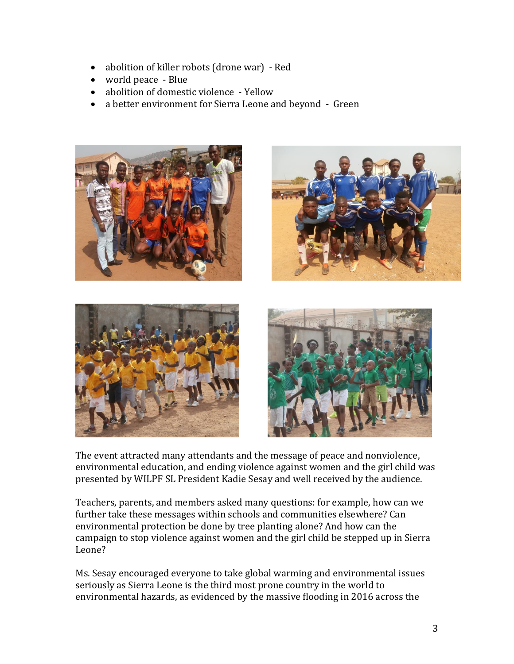- abolition of killer robots (drone war) Red
- world peace Blue
- abolition of domestic violence Yellow
- a better environment for Sierra Leone and beyond Green









The event attracted many attendants and the message of peace and nonviolence, environmental education, and ending violence against women and the girl child was presented by WILPF SL President Kadie Sesay and well received by the audience.

Teachers, parents, and members asked many questions: for example, how can we further take these messages within schools and communities elsewhere? Can environmental protection be done by tree planting alone? And how can the campaign to stop violence against women and the girl child be stepped up in Sierra Leone?

Ms. Sesay encouraged everyone to take global warming and environmental issues seriously as Sierra Leone is the third most prone country in the world to environmental hazards, as evidenced by the massive flooding in 2016 across the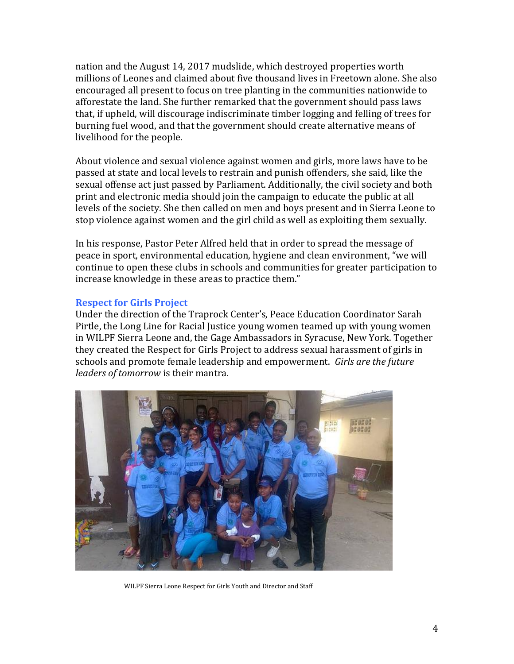nation and the August 14, 2017 mudslide, which destroyed properties worth millions of Leones and claimed about five thousand lives in Freetown alone. She also encouraged all present to focus on tree planting in the communities nationwide to afforestate the land. She further remarked that the government should pass laws that, if upheld, will discourage indiscriminate timber logging and felling of trees for burning fuel wood, and that the government should create alternative means of livelihood for the people.

About violence and sexual violence against women and girls, more laws have to be passed at state and local levels to restrain and punish offenders, she said, like the sexual offense act just passed by Parliament. Additionally, the civil society and both print and electronic media should join the campaign to educate the public at all levels of the society. She then called on men and boys present and in Sierra Leone to stop violence against women and the girl child as well as exploiting them sexually.

In his response, Pastor Peter Alfred held that in order to spread the message of peace in sport, environmental education, hygiene and clean environment, "we will continue to open these clubs in schools and communities for greater participation to increase knowledge in these areas to practice them."

# **Respect for Girls Project**

Under the direction of the Traprock Center's, Peace Education Coordinator Sarah Pirtle, the Long Line for Racial Justice young women teamed up with young women in WILPF Sierra Leone and, the Gage Ambassadors in Syracuse, New York. Together they created the Respect for Girls Project to address sexual harassment of girls in schools and promote female leadership and empowerment. *Girls are the future leaders of tomorrow* is their mantra.



WILPF Sierra Leone Respect for Girls Youth and Director and Staff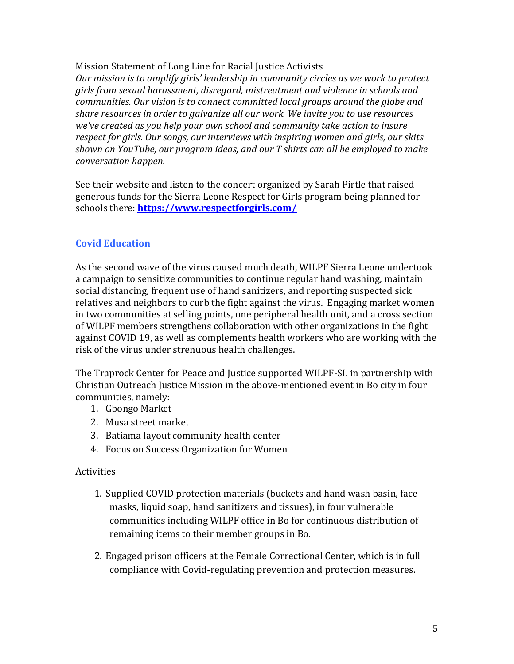### Mission Statement of Long Line for Racial Justice Activists

*Our mission is to amplify girls' leadership in community circles as we work to protect girls from sexual harassment, disregard, mistreatment and violence in schools and communities. Our vision is to connect committed local groups around the globe and share resources in order to galvanize all our work. We invite you to use resources we've created as you help your own school and community take action to insure respect for girls. Our songs, our interviews with inspiring women and girls, our skits shown on YouTube, our program ideas, and our T shirts can all be employed to make conversation happen.*

See their website and listen to the concert organized by Sarah Pirtle that raised generous funds for the Sierra Leone Respect for Girls program being planned for schools there: **<https://www.respectforgirls.com/>**

# **Covid Education**

As the second wave of the virus caused much death, WILPF Sierra Leone undertook a campaign to sensitize communities to continue regular hand washing, maintain social distancing, frequent use of hand sanitizers, and reporting suspected sick relatives and neighbors to curb the fight against the virus. Engaging market women in two communities at selling points, one peripheral health unit, and a cross section of WILPF members strengthens collaboration with other organizations in the fight against COVID 19, as well as complements health workers who are working with the risk of the virus under strenuous health challenges.

The Traprock Center for Peace and Justice supported WILPF-SL in partnership with Christian Outreach Justice Mission in the above-mentioned event in Bo city in four communities, namely:

- 1. Gbongo Market
- 2. Musa street market
- 3. Batiama layout community health center
- 4. Focus on Success Organization for Women

# Activities

- 1. Supplied COVID protection materials (buckets and hand wash basin, face masks, liquid soap, hand sanitizers and tissues), in four vulnerable communities including WILPF office in Bo for continuous distribution of remaining items to their member groups in Bo.
- 2. Engaged prison officers at the Female Correctional Center, which is in full compliance with Covid-regulating prevention and protection measures.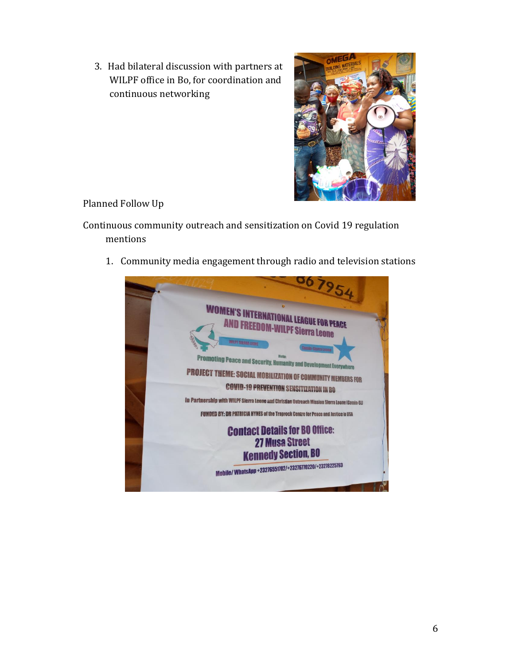3. Had bilateral discussion with partners at WILPF office in Bo, for coordination and continuous networking



Planned Follow Up

Continuous community outreach and sensitization on Covid 19 regulation mentions

1. Community media engagement through radio and television stations

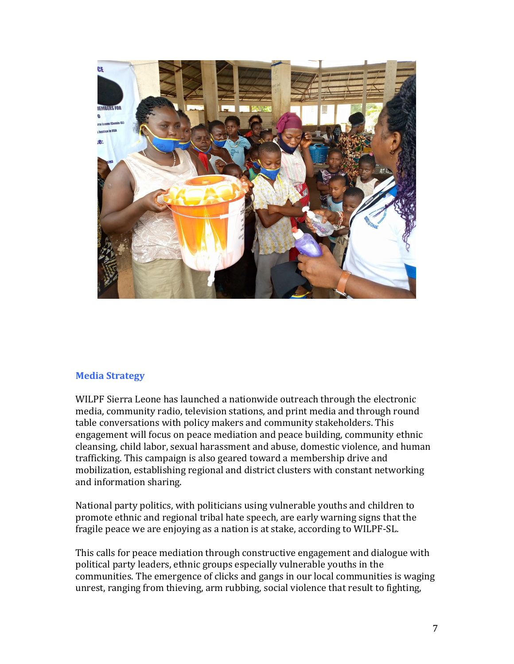

#### **Media Strategy**

WILPF Sierra Leone has launched a nationwide outreach through the electronic media, community radio, television stations, and print media and through round table conversations with policy makers and community stakeholders. This engagement will focus on peace mediation and peace building, community ethnic cleansing, child labor, sexual harassment and abuse, domestic violence, and human trafficking. This campaign is also geared toward a membership drive and mobilization, establishing regional and district clusters with constant networking and information sharing.

National party politics, with politicians using vulnerable youths and children to promote ethnic and regional tribal hate speech, are early warning signs that the fragile peace we are enjoying as a nation is at stake, according to WILPF-SL.

This calls for peace mediation through constructive engagement and dialogue with political party leaders, ethnic groups especially vulnerable youths in the communities. The emergence of clicks and gangs in our local communities is waging unrest, ranging from thieving, arm rubbing, social violence that result to fighting,